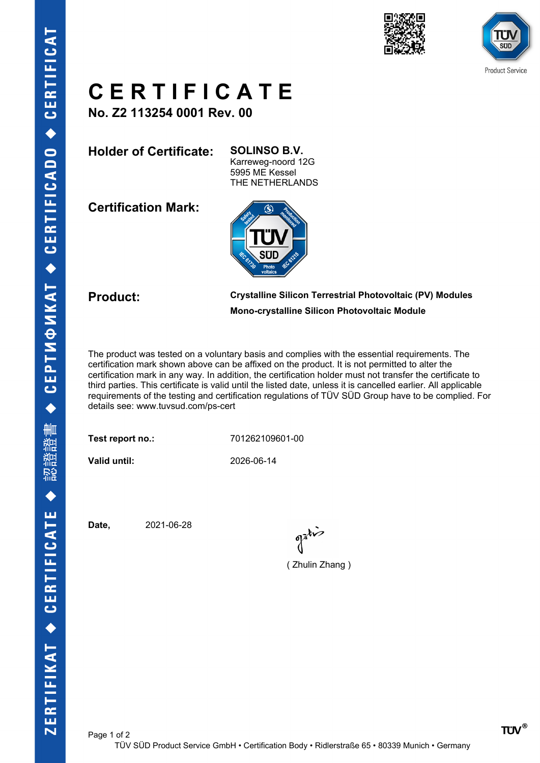



## **C E R T I F I C A T E**

**No. Z2 113254 0001 Rev. 00**

**Holder of Certificate: SOLINSO B.V.**

Karreweg-noord 12G 5995 ME Kessel THE NETHERLANDS

**Certification Mark:**



## **Product: Crystalline Silicon Terrestrial Photovoltaic (PV) Modules Mono-crystalline Silicon Photovoltaic Module**

The product was tested on a voluntary basis and complies with the essential requirements. The certification mark shown above can be affixed on the product. It is not permitted to alter the certification mark in any way. In addition, the certification holder must not transfer the certificate to third parties. This certificate is valid until the listed date, unless it is cancelled earlier. All applicable requirements of the testing and certification regulations of TÜV SÜD Group have to be complied. For details see: www.tuvsud.com/ps-cert

**Test report no.:** 701262109601-00

**Valid until:** 2026-06-14

**Date,** 2021-06-28

 $\int_0^{\frac{1}{2}}$ 

( Zhulin Zhang )